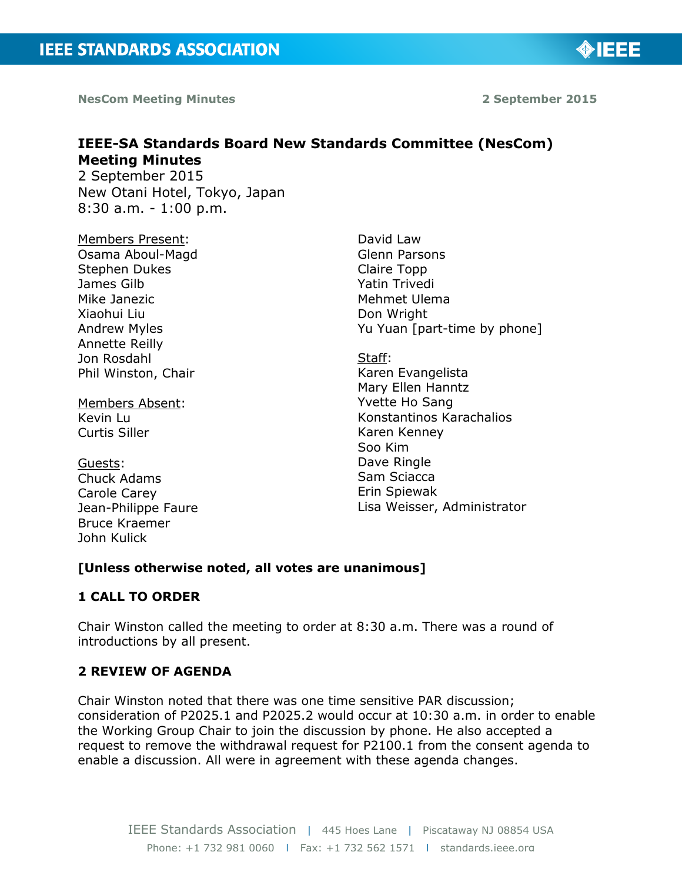

**NesCom Meeting Minutes 2 September 2015** 

# **IEEE-SA Standards Board New Standards Committee (NesCom) Meeting Minutes**  2 September 2015

New Otani Hotel, Tokyo, Japan 8:30 a.m. - 1:00 p.m.

Members Present: Osama Aboul-Magd Stephen Dukes James Gilb Mike Janezic Xiaohui Liu Andrew Myles Annette Reilly Jon Rosdahl Phil Winston, Chair

Members Absent: Kevin Lu Curtis Siller

Guests: Chuck Adams Carole Carey Jean-Philippe Faure Bruce Kraemer John Kulick

David Law Glenn Parsons Claire Topp Yatin Trivedi Mehmet Ulema Don Wright Yu Yuan [part-time by phone]

Staff: Karen Evangelista Mary Ellen Hanntz Yvette Ho Sang Konstantinos Karachalios Karen Kenney Soo Kim Dave Ringle Sam Sciacca Erin Spiewak Lisa Weisser, Administrator

# **[Unless otherwise noted, all votes are unanimous]**

#### **1 CALL TO ORDER**

Chair Winston called the meeting to order at 8:30 a.m. There was a round of introductions by all present.

# **2 REVIEW OF AGENDA**

Chair Winston noted that there was one time sensitive PAR discussion; consideration of P2025.1 and P2025.2 would occur at 10:30 a.m. in order to enable the Working Group Chair to join the discussion by phone. He also accepted a request to remove the withdrawal request for P2100.1 from the consent agenda to enable a discussion. All were in agreement with these agenda changes.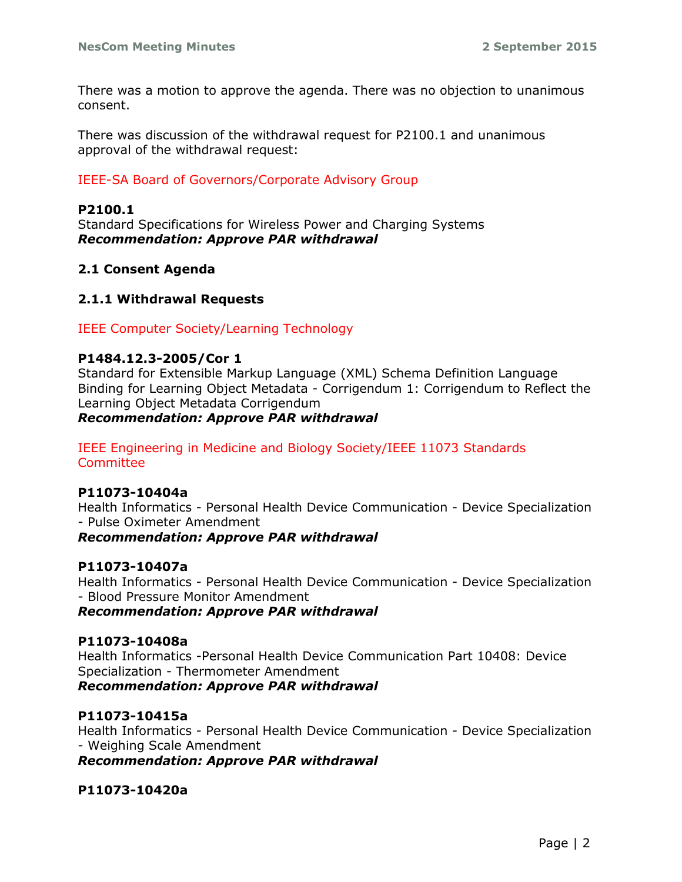There was a motion to approve the agenda. There was no objection to unanimous consent.

There was discussion of the withdrawal request for P2100.1 and unanimous approval of the withdrawal request:

#### IEEE-SA Board of Governors/Corporate Advisory Group

#### **P2100.1**

Standard Specifications for Wireless Power and Charging Systems *Recommendation: Approve PAR withdrawal*

#### **2.1 Consent Agenda**

### **2.1.1 Withdrawal Requests**

IEEE Computer Society/Learning Technology

#### **P1484.12.3-2005/Cor 1**

Standard for Extensible Markup Language (XML) Schema Definition Language Binding for Learning Object Metadata - Corrigendum 1: Corrigendum to Reflect the Learning Object Metadata Corrigendum

#### *Recommendation: Approve PAR withdrawal*

#### IEEE Engineering in Medicine and Biology Society/IEEE 11073 Standards Committee

#### **P11073-10404a**

Health Informatics - Personal Health Device Communication - Device Specialization - Pulse Oximeter Amendment

#### *Recommendation: Approve PAR withdrawal*

#### **P11073-10407a**

Health Informatics - Personal Health Device Communication - Device Specialization - Blood Pressure Monitor Amendment

*Recommendation: Approve PAR withdrawal*

#### **P11073-10408a**

Health Informatics -Personal Health Device Communication Part 10408: Device Specialization - Thermometer Amendment *Recommendation: Approve PAR withdrawal*

#### **P11073-10415a**

Health Informatics - Personal Health Device Communication - Device Specialization - Weighing Scale Amendment

*Recommendation: Approve PAR withdrawal*

#### **P11073-10420a**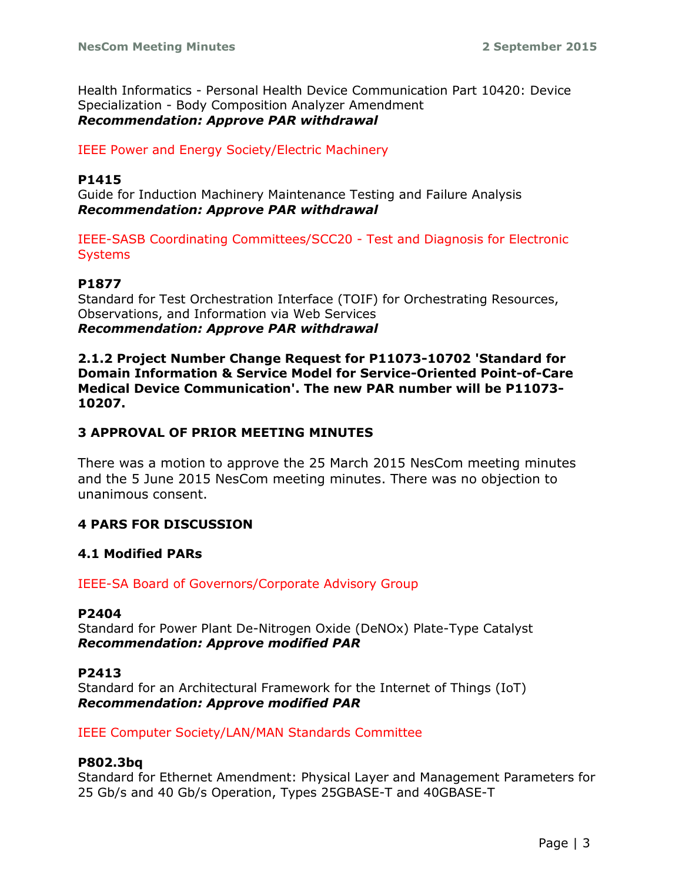Health Informatics - Personal Health Device Communication Part 10420: Device Specialization - Body Composition Analyzer Amendment *Recommendation: Approve PAR withdrawal*

IEEE Power and Energy Society/Electric Machinery

#### **P1415**

Guide for Induction Machinery Maintenance Testing and Failure Analysis *Recommendation: Approve PAR withdrawal*

IEEE-SASB Coordinating Committees/SCC20 - Test and Diagnosis for Electronic **Systems** 

#### **P1877**

Standard for Test Orchestration Interface (TOIF) for Orchestrating Resources, Observations, and Information via Web Services *Recommendation: Approve PAR withdrawal*

**2.1.2 Project Number Change Request for P11073-10702 'Standard for Domain Information & Service Model for Service-Oriented Point-of-Care Medical Device Communication'. The new PAR number will be P11073- 10207.**

#### **3 APPROVAL OF PRIOR MEETING MINUTES**

There was a motion to approve the 25 March 2015 NesCom meeting minutes and the 5 June 2015 NesCom meeting minutes. There was no objection to unanimous consent.

#### **4 PARS FOR DISCUSSION**

#### **4.1 Modified PARs**

#### IEEE-SA Board of Governors/Corporate Advisory Group

#### **P2404**

Standard for Power Plant De-Nitrogen Oxide (DeNOx) Plate-Type Catalyst *Recommendation: Approve modified PAR*

#### **P2413**

Standard for an Architectural Framework for the Internet of Things (IoT) *Recommendation: Approve modified PAR*

#### IEEE Computer Society/LAN/MAN Standards Committee

#### **P802.3bq**

Standard for Ethernet Amendment: Physical Layer and Management Parameters for 25 Gb/s and 40 Gb/s Operation, Types 25GBASE-T and 40GBASE-T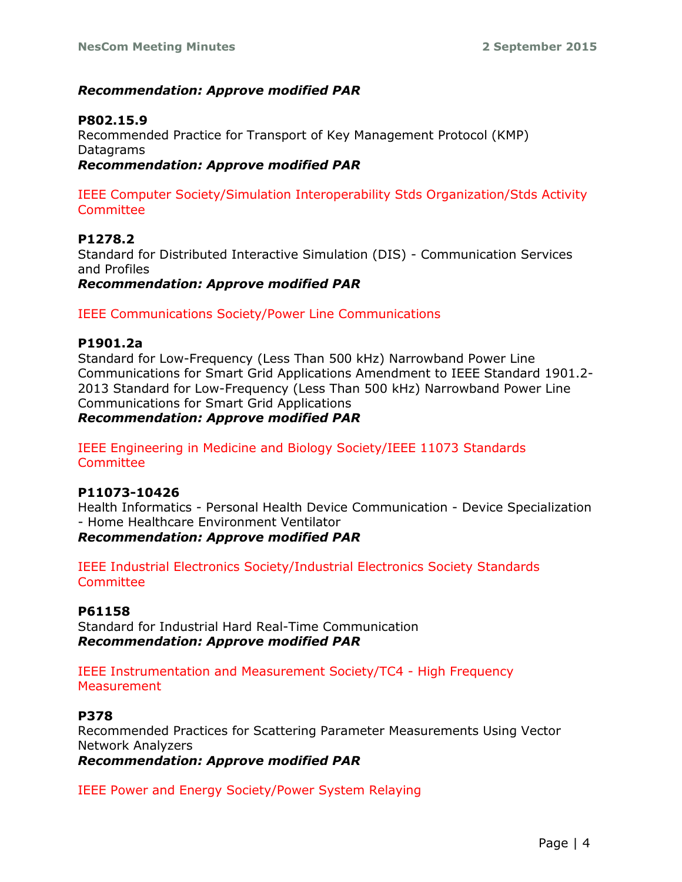# *Recommendation: Approve modified PAR*

### **P802.15.9**

Recommended Practice for Transport of Key Management Protocol (KMP) Datagrams *Recommendation: Approve modified PAR*

IEEE Computer Society/Simulation Interoperability Stds Organization/Stds Activity Committee

**P1278.2** Standard for Distributed Interactive Simulation (DIS) - Communication Services and Profiles *Recommendation: Approve modified PAR* 

IEEE Communications Society/Power Line Communications

#### **P1901.2a**

Standard for Low-Frequency (Less Than 500 kHz) Narrowband Power Line Communications for Smart Grid Applications Amendment to IEEE Standard 1901.2- 2013 Standard for Low-Frequency (Less Than 500 kHz) Narrowband Power Line Communications for Smart Grid Applications

*Recommendation: Approve modified PAR* 

IEEE Engineering in Medicine and Biology Society/IEEE 11073 Standards Committee

#### **P11073-10426**

Health Informatics - Personal Health Device Communication - Device Specialization - Home Healthcare Environment Ventilator

*Recommendation: Approve modified PAR* 

IEEE Industrial Electronics Society/Industrial Electronics Society Standards **Committee** 

#### **P61158**

Standard for Industrial Hard Real-Time Communication *Recommendation: Approve modified PAR* 

IEEE Instrumentation and Measurement Society/TC4 - High Frequency **Measurement** 

### **P378**

Recommended Practices for Scattering Parameter Measurements Using Vector Network Analyzers

*Recommendation: Approve modified PAR*

IEEE Power and Energy Society/Power System Relaying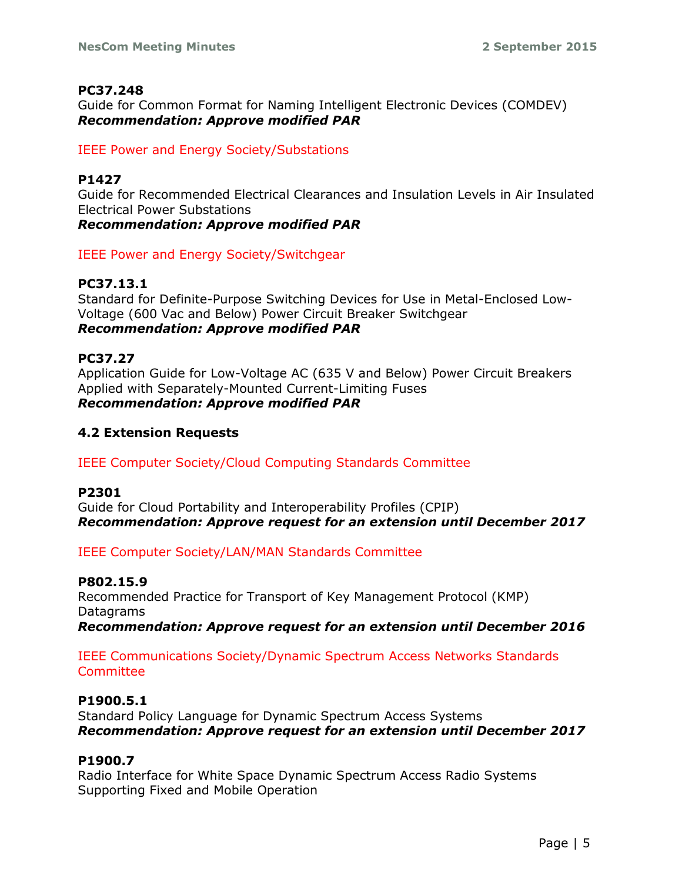### **PC37.248**

Guide for Common Format for Naming Intelligent Electronic Devices (COMDEV) *Recommendation: Approve modified PAR*

### IEEE Power and Energy Society/Substations

### **P1427**

Guide for Recommended Electrical Clearances and Insulation Levels in Air Insulated Electrical Power Substations *Recommendation: Approve modified PAR*

IEEE Power and Energy Society/Switchgear

# **PC37.13.1**

Standard for Definite-Purpose Switching Devices for Use in Metal-Enclosed Low-Voltage (600 Vac and Below) Power Circuit Breaker Switchgear *Recommendation: Approve modified PAR*

**PC37.27** Application Guide for Low-Voltage AC (635 V and Below) Power Circuit Breakers Applied with Separately-Mounted Current-Limiting Fuses *Recommendation: Approve modified PAR* 

# **4.2 Extension Requests**

IEEE Computer Society/Cloud Computing Standards Committee

#### **P2301**

Guide for Cloud Portability and Interoperability Profiles (CPIP) *Recommendation: Approve request for an extension until December 2017*

IEEE Computer Society/LAN/MAN Standards Committee

#### **P802.15.9**

Recommended Practice for Transport of Key Management Protocol (KMP) Datagrams *Recommendation: Approve request for an extension until December 2016*

#### IEEE Communications Society/Dynamic Spectrum Access Networks Standards **Committee**

# **P1900.5.1**

Standard Policy Language for Dynamic Spectrum Access Systems *Recommendation: Approve request for an extension until December 2017*

### **P1900.7**

Radio Interface for White Space Dynamic Spectrum Access Radio Systems Supporting Fixed and Mobile Operation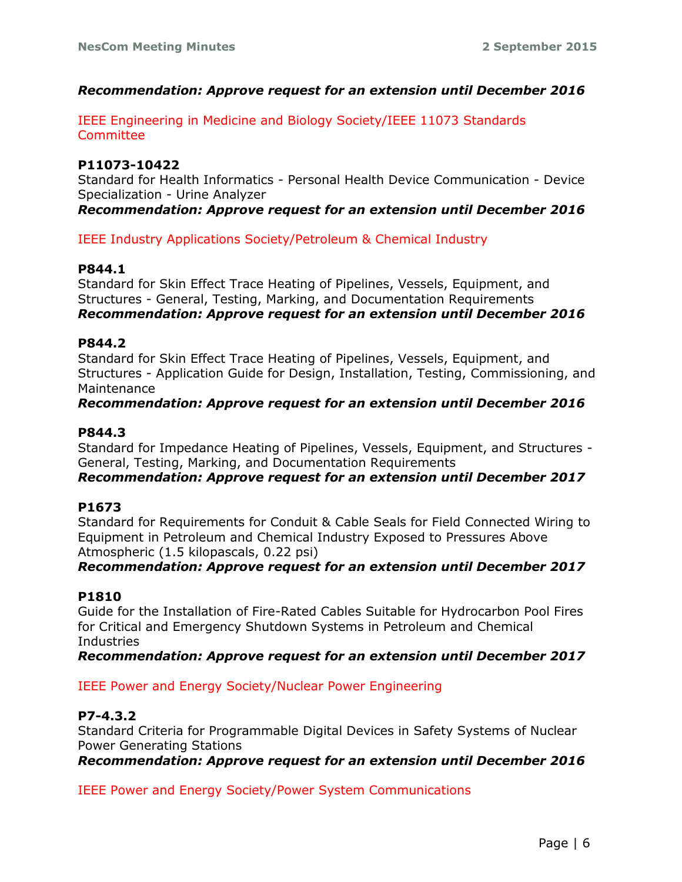### *Recommendation: Approve request for an extension until December 2016*

IEEE Engineering in Medicine and Biology Society/IEEE 11073 Standards **Committee** 

#### **P11073-10422**

Standard for Health Informatics - Personal Health Device Communication - Device Specialization - Urine Analyzer

*Recommendation: Approve request for an extension until December 2016*

IEEE Industry Applications Society/Petroleum & Chemical Industry

#### **P844.1**

Standard for Skin Effect Trace Heating of Pipelines, Vessels, Equipment, and Structures - General, Testing, Marking, and Documentation Requirements *Recommendation: Approve request for an extension until December 2016*

#### **P844.2**

Standard for Skin Effect Trace Heating of Pipelines, Vessels, Equipment, and Structures - Application Guide for Design, Installation, Testing, Commissioning, and Maintenance

#### *Recommendation: Approve request for an extension until December 2016*

### **P844.3**

Standard for Impedance Heating of Pipelines, Vessels, Equipment, and Structures - General, Testing, Marking, and Documentation Requirements

*Recommendation: Approve request for an extension until December 2017*

#### **P1673**

Standard for Requirements for Conduit & Cable Seals for Field Connected Wiring to Equipment in Petroleum and Chemical Industry Exposed to Pressures Above Atmospheric (1.5 kilopascals, 0.22 psi)

#### *Recommendation: Approve request for an extension until December 2017*

#### **P1810**

Guide for the Installation of Fire-Rated Cables Suitable for Hydrocarbon Pool Fires for Critical and Emergency Shutdown Systems in Petroleum and Chemical **Industries** 

*Recommendation: Approve request for an extension until December 2017*

#### IEEE Power and Energy Society/Nuclear Power Engineering

#### **P7-4.3.2**

Standard Criteria for Programmable Digital Devices in Safety Systems of Nuclear Power Generating Stations

*Recommendation: Approve request for an extension until December 2016*

IEEE Power and Energy Society/Power System Communications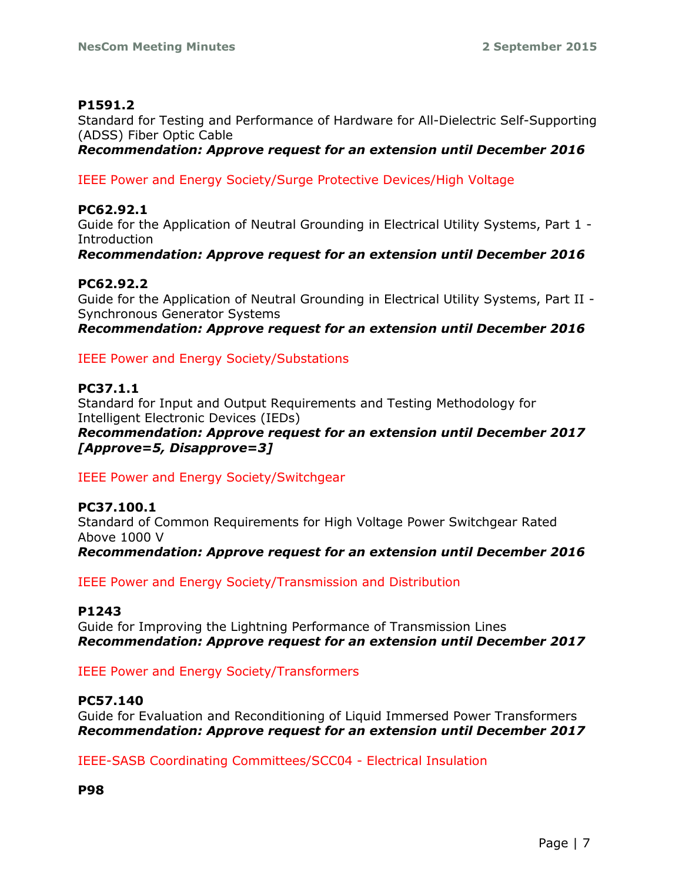# **P1591.2**

Standard for Testing and Performance of Hardware for All-Dielectric Self-Supporting (ADSS) Fiber Optic Cable

*Recommendation: Approve request for an extension until December 2016*

IEEE Power and Energy Society/Surge Protective Devices/High Voltage

# **PC62.92.1**

Guide for the Application of Neutral Grounding in Electrical Utility Systems, Part 1 - Introduction

*Recommendation: Approve request for an extension until December 2016*

# **PC62.92.2**

Guide for the Application of Neutral Grounding in Electrical Utility Systems, Part II - Synchronous Generator Systems

*Recommendation: Approve request for an extension until December 2016*

# IEEE Power and Energy Society/Substations

# **PC37.1.1**

Standard for Input and Output Requirements and Testing Methodology for Intelligent Electronic Devices (IEDs)

*Recommendation: Approve request for an extension until December 2017 [Approve=5, Disapprove=3]*

# IEEE Power and Energy Society/Switchgear

#### **PC37.100.1** Standard of Common Requirements for High Voltage Power Switchgear Rated Above 1000 V *Recommendation: Approve request for an extension until December 2016*

IEEE Power and Energy Society/Transmission and Distribution

# **P1243**

Guide for Improving the Lightning Performance of Transmission Lines *Recommendation: Approve request for an extension until December 2017*

IEEE Power and Energy Society/Transformers

# **PC57.140**

Guide for Evaluation and Reconditioning of Liquid Immersed Power Transformers *Recommendation: Approve request for an extension until December 2017*

IEEE-SASB Coordinating Committees/SCC04 - Electrical Insulation

**P98**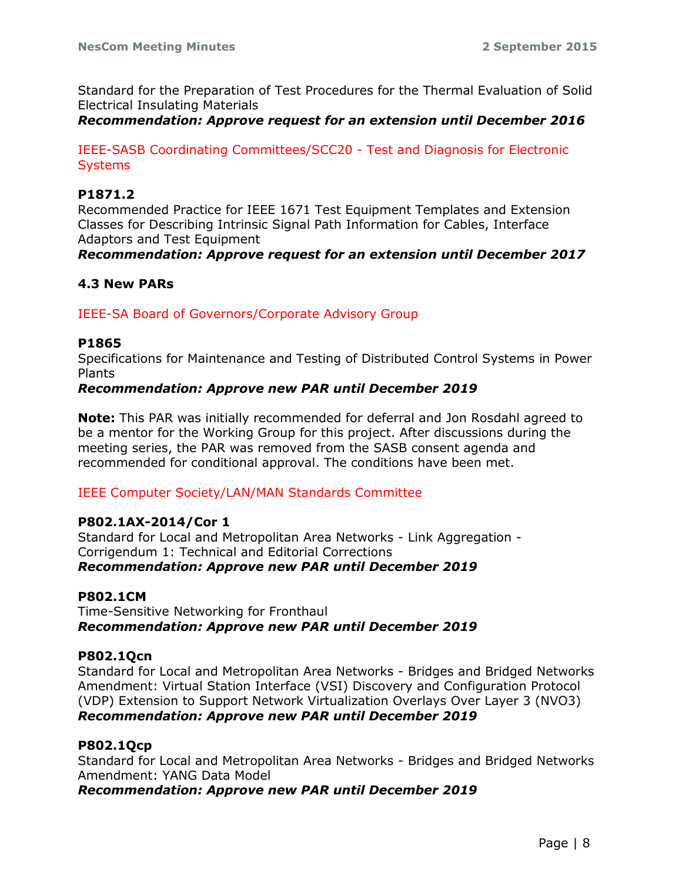Standard for the Preparation of Test Procedures for the Thermal Evaluation of Solid Electrical Insulating Materials

#### *Recommendation: Approve request for an extension until December 2016*

IEEE-SASB Coordinating Committees/SCC20 - Test and Diagnosis for Electronic **Systems** 

#### **P1871.2**

Recommended Practice for IEEE 1671 Test Equipment Templates and Extension Classes for Describing Intrinsic Signal Path Information for Cables, Interface Adaptors and Test Equipment

*Recommendation: Approve request for an extension until December 2017*

# **4.3 New PARs**

IEEE-SA Board of Governors/Corporate Advisory Group

#### **P1865**

Specifications for Maintenance and Testing of Distributed Control Systems in Power Plants

#### *Recommendation: Approve new PAR until December 2019*

**Note:** This PAR was initially recommended for deferral and Jon Rosdahl agreed to be a mentor for the Working Group for this project. After discussions during the meeting series, the PAR was removed from the SASB consent agenda and recommended for conditional approval. The conditions have been met.

#### IEEE Computer Society/LAN/MAN Standards Committee

#### **P802.1AX-2014/Cor 1**

Standard for Local and Metropolitan Area Networks - Link Aggregation - Corrigendum 1: Technical and Editorial Corrections *Recommendation: Approve new PAR until December 2019*

#### **P802.1CM**

Time-Sensitive Networking for Fronthaul *Recommendation: Approve new PAR until December 2019*

#### **P802.1Qcn**

Standard for Local and Metropolitan Area Networks - Bridges and Bridged Networks Amendment: Virtual Station Interface (VSI) Discovery and Configuration Protocol (VDP) Extension to Support Network Virtualization Overlays Over Layer 3 (NVO3) *Recommendation: Approve new PAR until December 2019*

#### **P802.1Qcp**

Standard for Local and Metropolitan Area Networks - Bridges and Bridged Networks Amendment: YANG Data Model

*Recommendation: Approve new PAR until December 2019*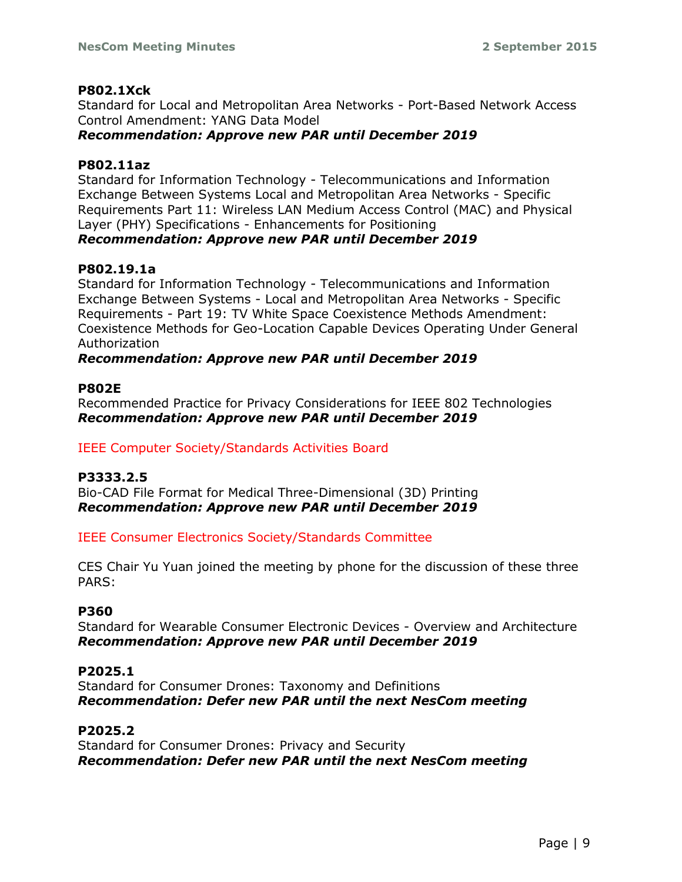### **P802.1Xck**

Standard for Local and Metropolitan Area Networks - Port-Based Network Access Control Amendment: YANG Data Model

*Recommendation: Approve new PAR until December 2019*

### **P802.11az**

Standard for Information Technology - Telecommunications and Information Exchange Between Systems Local and Metropolitan Area Networks - Specific Requirements Part 11: Wireless LAN Medium Access Control (MAC) and Physical Layer (PHY) Specifications - Enhancements for Positioning

# *Recommendation: Approve new PAR until December 2019*

# **P802.19.1a**

Standard for Information Technology - Telecommunications and Information Exchange Between Systems - Local and Metropolitan Area Networks - Specific Requirements - Part 19: TV White Space Coexistence Methods Amendment: Coexistence Methods for Geo-Location Capable Devices Operating Under General Authorization

# *Recommendation: Approve new PAR until December 2019*

### **P802E**

Recommended Practice for Privacy Considerations for IEEE 802 Technologies *Recommendation: Approve new PAR until December 2019*

IEEE Computer Society/Standards Activities Board

# **P3333.2.5**

Bio-CAD File Format for Medical Three-Dimensional (3D) Printing *Recommendation: Approve new PAR until December 2019*

IEEE Consumer Electronics Society/Standards Committee

CES Chair Yu Yuan joined the meeting by phone for the discussion of these three PARS:

# **P360**

Standard for Wearable Consumer Electronic Devices - Overview and Architecture *Recommendation: Approve new PAR until December 2019*

# **P2025.1**

Standard for Consumer Drones: Taxonomy and Definitions *Recommendation: Defer new PAR until the next NesCom meeting*

# **P2025.2**

Standard for Consumer Drones: Privacy and Security *Recommendation: Defer new PAR until the next NesCom meeting*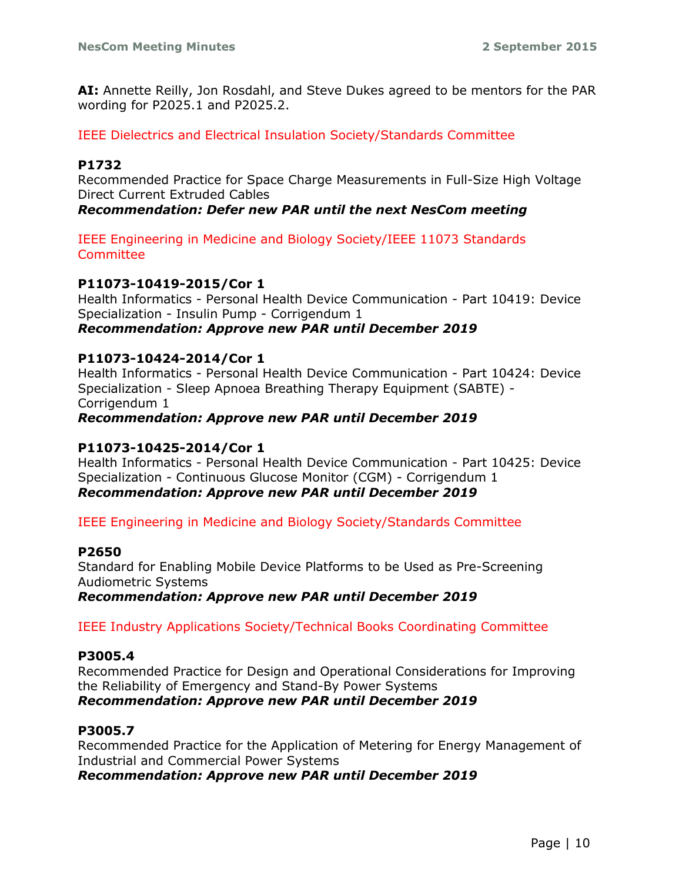**AI:** Annette Reilly, Jon Rosdahl, and Steve Dukes agreed to be mentors for the PAR wording for P2025.1 and P2025.2.

IEEE Dielectrics and Electrical Insulation Society/Standards Committee

### **P1732**

Recommended Practice for Space Charge Measurements in Full-Size High Voltage Direct Current Extruded Cables

*Recommendation: Defer new PAR until the next NesCom meeting*

IEEE Engineering in Medicine and Biology Society/IEEE 11073 Standards Committee

### **P11073-10419-2015/Cor 1**

Health Informatics - Personal Health Device Communication - Part 10419: Device Specialization - Insulin Pump - Corrigendum 1 *Recommendation: Approve new PAR until December 2019*

#### **P11073-10424-2014/Cor 1**

Health Informatics - Personal Health Device Communication - Part 10424: Device Specialization - Sleep Apnoea Breathing Therapy Equipment (SABTE) - Corrigendum 1

*Recommendation: Approve new PAR until December 2019*

#### **P11073-10425-2014/Cor 1**

Health Informatics - Personal Health Device Communication - Part 10425: Device Specialization - Continuous Glucose Monitor (CGM) - Corrigendum 1 *Recommendation: Approve new PAR until December 2019*

IEEE Engineering in Medicine and Biology Society/Standards Committee

#### **P2650**

Standard for Enabling Mobile Device Platforms to be Used as Pre-Screening Audiometric Systems

*Recommendation: Approve new PAR until December 2019*

IEEE Industry Applications Society/Technical Books Coordinating Committee

#### **P3005.4**

Recommended Practice for Design and Operational Considerations for Improving the Reliability of Emergency and Stand-By Power Systems *Recommendation: Approve new PAR until December 2019*

#### **P3005.7**

Recommended Practice for the Application of Metering for Energy Management of Industrial and Commercial Power Systems *Recommendation: Approve new PAR until December 2019*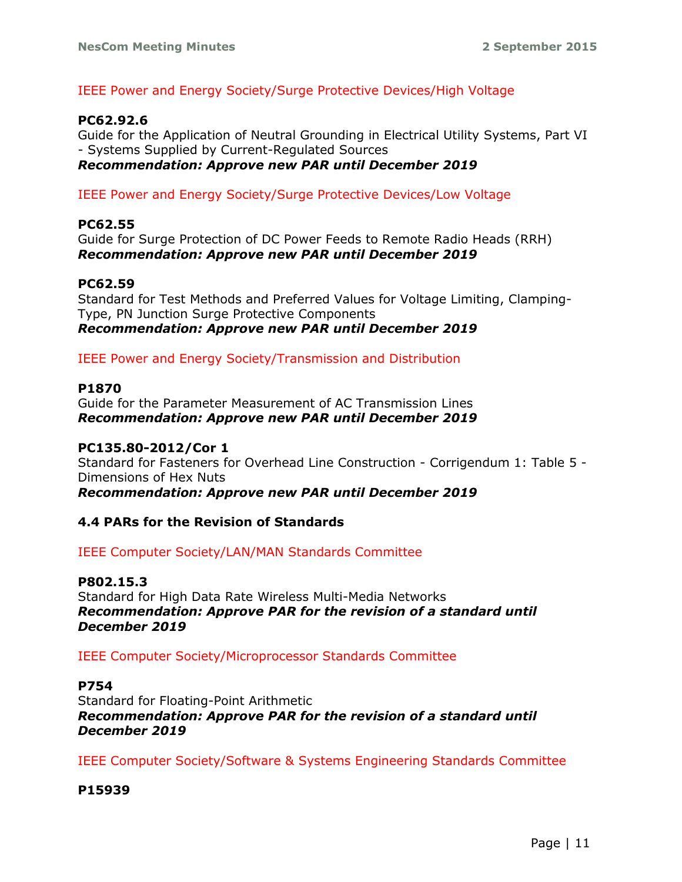# IEEE Power and Energy Society/Surge Protective Devices/High Voltage

### **PC62.92.6**

Guide for the Application of Neutral Grounding in Electrical Utility Systems, Part VI - Systems Supplied by Current-Regulated Sources *Recommendation: Approve new PAR until December 2019*

IEEE Power and Energy Society/Surge Protective Devices/Low Voltage

#### **PC62.55**

Guide for Surge Protection of DC Power Feeds to Remote Radio Heads (RRH) *Recommendation: Approve new PAR until December 2019*

### **PC62.59**

Standard for Test Methods and Preferred Values for Voltage Limiting, Clamping-Type, PN Junction Surge Protective Components *Recommendation: Approve new PAR until December 2019*

IEEE Power and Energy Society/Transmission and Distribution

#### **P1870**

Guide for the Parameter Measurement of AC Transmission Lines *Recommendation: Approve new PAR until December 2019*

#### **PC135.80-2012/Cor 1**

Standard for Fasteners for Overhead Line Construction - Corrigendum 1: Table 5 - Dimensions of Hex Nuts

*Recommendation: Approve new PAR until December 2019*

#### **4.4 PARs for the Revision of Standards**

IEEE Computer Society/LAN/MAN Standards Committee

#### **P802.15.3**

Standard for High Data Rate Wireless Multi-Media Networks *Recommendation: Approve PAR for the revision of a standard until December 2019*

IEEE Computer Society/Microprocessor Standards Committee

#### **P754**

Standard for Floating-Point Arithmetic *Recommendation: Approve PAR for the revision of a standard until December 2019*

IEEE Computer Society/Software & Systems Engineering Standards Committee

#### **P15939**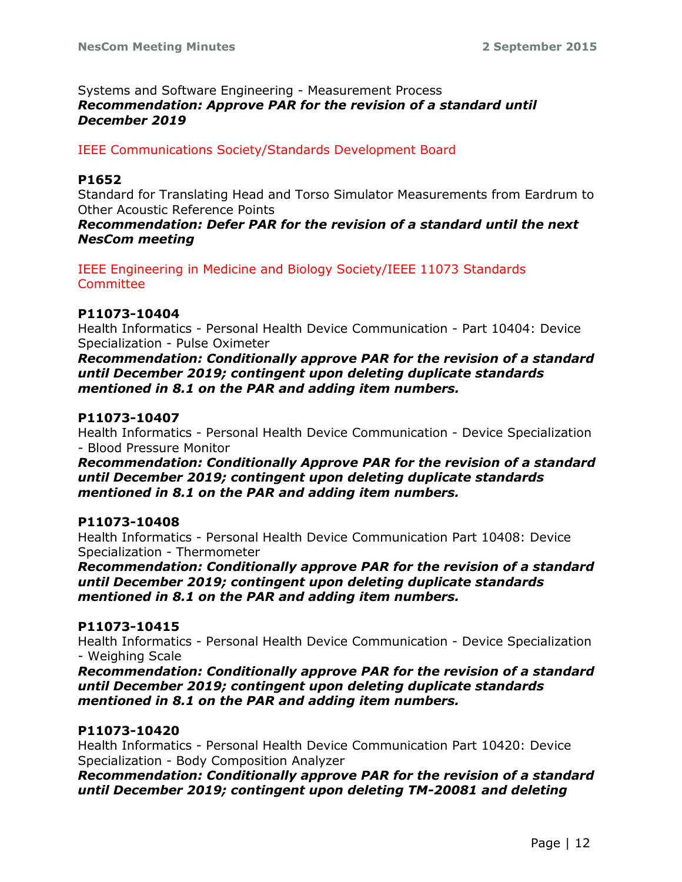#### Systems and Software Engineering - Measurement Process *Recommendation: Approve PAR for the revision of a standard until December 2019*

### IEEE Communications Society/Standards Development Board

#### **P1652**

Standard for Translating Head and Torso Simulator Measurements from Eardrum to Other Acoustic Reference Points

*Recommendation: Defer PAR for the revision of a standard until the next NesCom meeting*

IEEE Engineering in Medicine and Biology Society/IEEE 11073 Standards Committee

#### **P11073-10404**

Health Informatics - Personal Health Device Communication - Part 10404: Device Specialization - Pulse Oximeter

*Recommendation: Conditionally approve PAR for the revision of a standard until December 2019; contingent upon deleting duplicate standards mentioned in 8.1 on the PAR and adding item numbers.*

#### **P11073-10407**

Health Informatics - Personal Health Device Communication - Device Specialization - Blood Pressure Monitor

*Recommendation: Conditionally Approve PAR for the revision of a standard until December 2019; contingent upon deleting duplicate standards mentioned in 8.1 on the PAR and adding item numbers.*

#### **P11073-10408**

Health Informatics - Personal Health Device Communication Part 10408: Device Specialization - Thermometer

*Recommendation: Conditionally approve PAR for the revision of a standard until December 2019; contingent upon deleting duplicate standards mentioned in 8.1 on the PAR and adding item numbers.*

#### **P11073-10415**

Health Informatics - Personal Health Device Communication - Device Specialization - Weighing Scale

*Recommendation: Conditionally approve PAR for the revision of a standard until December 2019; contingent upon deleting duplicate standards mentioned in 8.1 on the PAR and adding item numbers.*

#### **P11073-10420**

Health Informatics - Personal Health Device Communication Part 10420: Device Specialization - Body Composition Analyzer

*Recommendation: Conditionally approve PAR for the revision of a standard until December 2019; contingent upon deleting TM-20081 and deleting*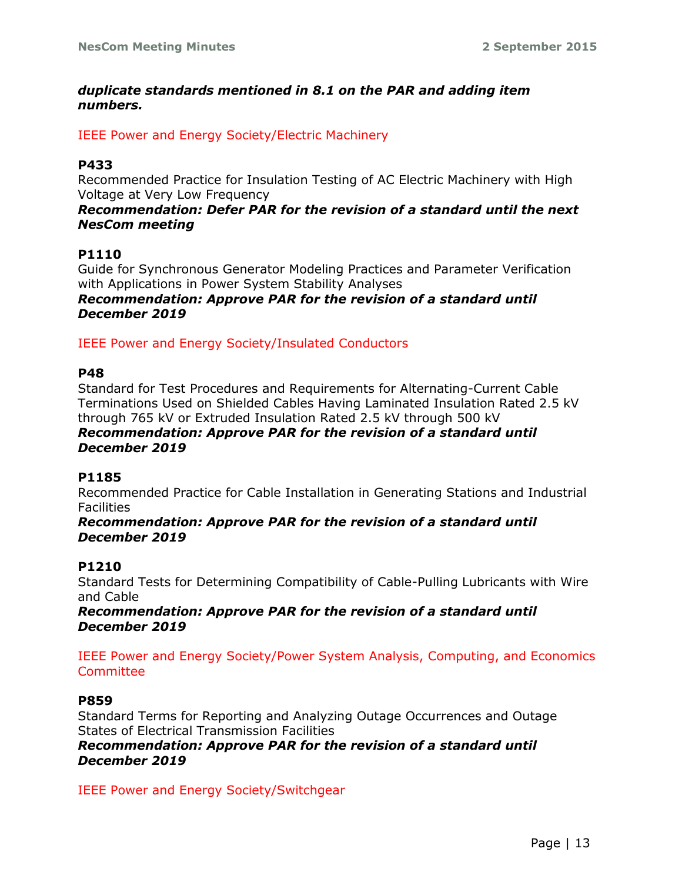### *duplicate standards mentioned in 8.1 on the PAR and adding item numbers.*

IEEE Power and Energy Society/Electric Machinery

# **P433**

Recommended Practice for Insulation Testing of AC Electric Machinery with High Voltage at Very Low Frequency

#### *Recommendation: Defer PAR for the revision of a standard until the next NesCom meeting*

# **P1110**

Guide for Synchronous Generator Modeling Practices and Parameter Verification with Applications in Power System Stability Analyses *Recommendation: Approve PAR for the revision of a standard until December 2019*

IEEE Power and Energy Society/Insulated Conductors

### **P48**

Standard for Test Procedures and Requirements for Alternating-Current Cable Terminations Used on Shielded Cables Having Laminated Insulation Rated 2.5 kV through 765 kV or Extruded Insulation Rated 2.5 kV through 500 kV *Recommendation: Approve PAR for the revision of a standard until* 

# *December 2019*

# **P1185**

Recommended Practice for Cable Installation in Generating Stations and Industrial **Facilities** 

#### *Recommendation: Approve PAR for the revision of a standard until December 2019*

# **P1210**

Standard Tests for Determining Compatibility of Cable-Pulling Lubricants with Wire and Cable

*Recommendation: Approve PAR for the revision of a standard until December 2019*

IEEE Power and Energy Society/Power System Analysis, Computing, and Economics **Committee** 

#### **P859**

Standard Terms for Reporting and Analyzing Outage Occurrences and Outage States of Electrical Transmission Facilities *Recommendation: Approve PAR for the revision of a standard until December 2019*

IEEE Power and Energy Society/Switchgear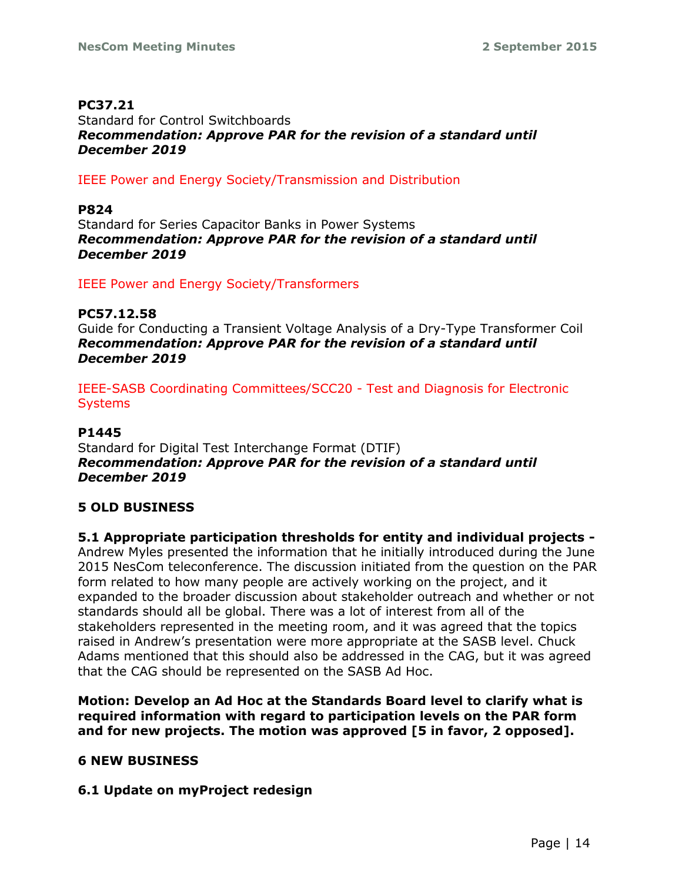### **PC37.21**

Standard for Control Switchboards *Recommendation: Approve PAR for the revision of a standard until December 2019*

IEEE Power and Energy Society/Transmission and Distribution

### **P824**

Standard for Series Capacitor Banks in Power Systems *Recommendation: Approve PAR for the revision of a standard until December 2019*

IEEE Power and Energy Society/Transformers

**PC57.12.58** Guide for Conducting a Transient Voltage Analysis of a Dry-Type Transformer Coil *Recommendation: Approve PAR for the revision of a standard until December 2019*

IEEE-SASB Coordinating Committees/SCC20 - Test and Diagnosis for Electronic **Systems** 

# **P1445**

Standard for Digital Test Interchange Format (DTIF) *Recommendation: Approve PAR for the revision of a standard until December 2019*

# **5 OLD BUSINESS**

**5.1 Appropriate participation thresholds for entity and individual projects -** Andrew Myles presented the information that he initially introduced during the June 2015 NesCom teleconference. The discussion initiated from the question on the PAR form related to how many people are actively working on the project, and it expanded to the broader discussion about stakeholder outreach and whether or not standards should all be global. There was a lot of interest from all of the stakeholders represented in the meeting room, and it was agreed that the topics raised in Andrew's presentation were more appropriate at the SASB level. Chuck Adams mentioned that this should also be addressed in the CAG, but it was agreed that the CAG should be represented on the SASB Ad Hoc.

**Motion: Develop an Ad Hoc at the Standards Board level to clarify what is required information with regard to participation levels on the PAR form and for new projects. The motion was approved [5 in favor, 2 opposed].**

# **6 NEW BUSINESS**

# **6.1 Update on myProject redesign**